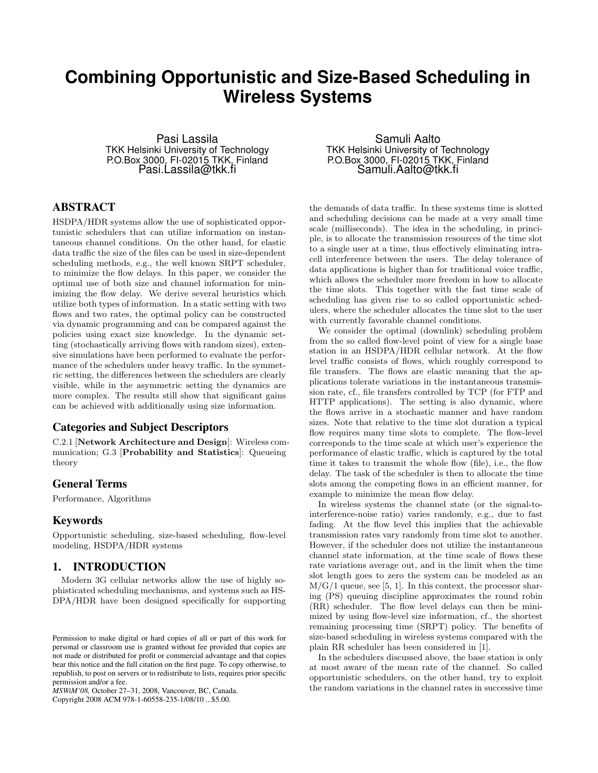# **Combining Opportunistic and Size-Based Scheduling in Wireless Systems**

Pasi Lassila TKK Helsinki University of Technology P.O.Box 3000, FI-02015 TKK, Finland Pasi.Lassila@tkk.fi

# ABSTRACT

HSDPA/HDR systems allow the use of sophisticated opportunistic schedulers that can utilize information on instantaneous channel conditions. On the other hand, for elastic data traffic the size of the files can be used in size-dependent scheduling methods, e.g., the well known SRPT scheduler, to minimize the flow delays. In this paper, we consider the optimal use of both size and channel information for minimizing the flow delay. We derive several heuristics which utilize both types of information. In a static setting with two flows and two rates, the optimal policy can be constructed via dynamic programming and can be compared against the policies using exact size knowledge. In the dynamic setting (stochastically arriving flows with random sizes), extensive simulations have been performed to evaluate the performance of the schedulers under heavy traffic. In the symmetric setting, the differences between the schedulers are clearly visible, while in the asymmetric setting the dynamics are more complex. The results still show that significant gains can be achieved with additionally using size information.

## Categories and Subject Descriptors

C.2.1 [Network Architecture and Design]: Wireless communication; G.3 [Probability and Statistics]: Queueing theory

# General Terms

Performance, Algorithms

# Keywords

Opportunistic scheduling, size-based scheduling, flow-level modeling, HSDPA/HDR systems

# 1. INTRODUCTION

Modern 3G cellular networks allow the use of highly sophisticated scheduling mechanisms, and systems such as HS-DPA/HDR have been designed specifically for supporting

*MSWiM'08,* October 27–31, 2008, Vancouver, BC, Canada.

Copyright 2008 ACM 978-1-60558-235-1/08/10 ...\$5.00.

Samuli Aalto TKK Helsinki University of Technology P.O.Box 3000, FI-02015 TKK, Finland Samuli.Aalto@tkk.fi

the demands of data traffic. In these systems time is slotted and scheduling decisions can be made at a very small time scale (milliseconds). The idea in the scheduling, in principle, is to allocate the transmission resources of the time slot to a single user at a time, thus effectively eliminating intracell interference between the users. The delay tolerance of data applications is higher than for traditional voice traffic, which allows the scheduler more freedom in how to allocate the time slots. This together with the fast time scale of scheduling has given rise to so called opportunistic schedulers, where the scheduler allocates the time slot to the user with currently favorable channel conditions.

We consider the optimal (downlink) scheduling problem from the so called flow-level point of view for a single base station in an HSDPA/HDR cellular network. At the flow level traffic consists of flows, which roughly correspond to file transfers. The flows are elastic meaning that the applications tolerate variations in the instantaneous transmission rate, cf., file transfers controlled by TCP (for FTP and HTTP applications). The setting is also dynamic, where the flows arrive in a stochastic manner and have random sizes. Note that relative to the time slot duration a typical flow requires many time slots to complete. The flow-level corresponds to the time scale at which user's experience the performance of elastic traffic, which is captured by the total time it takes to transmit the whole flow (file), i.e., the flow delay. The task of the scheduler is then to allocate the time slots among the competing flows in an efficient manner, for example to minimize the mean flow delay.

In wireless systems the channel state (or the signal-tointerference-noise ratio) varies randomly, e.g., due to fast fading. At the flow level this implies that the achievable transmission rates vary randomly from time slot to another. However, if the scheduler does not utilize the instantaneous channel state information, at the time scale of flows these rate variations average out, and in the limit when the time slot length goes to zero the system can be modeled as an  $M/G/1$  queue, see [5, 1]. In this context, the processor sharing (PS) queuing discipline approximates the round robin (RR) scheduler. The flow level delays can then be minimized by using flow-level size information, cf., the shortest remaining processing time (SRPT) policy. The benefits of size-based scheduling in wireless systems compared with the plain RR scheduler has been considered in [1].

In the schedulers discussed above, the base station is only at most aware of the mean rate of the channel. So called opportunistic schedulers, on the other hand, try to exploit the random variations in the channel rates in successive time

Permission to make digital or hard copies of all or part of this work for personal or classroom use is granted without fee provided that copies are not made or distributed for profit or commercial advantage and that copies bear this notice and the full citation on the first page. To copy otherwise, to republish, to post on servers or to redistribute to lists, requires prior specific permission and/or a fee.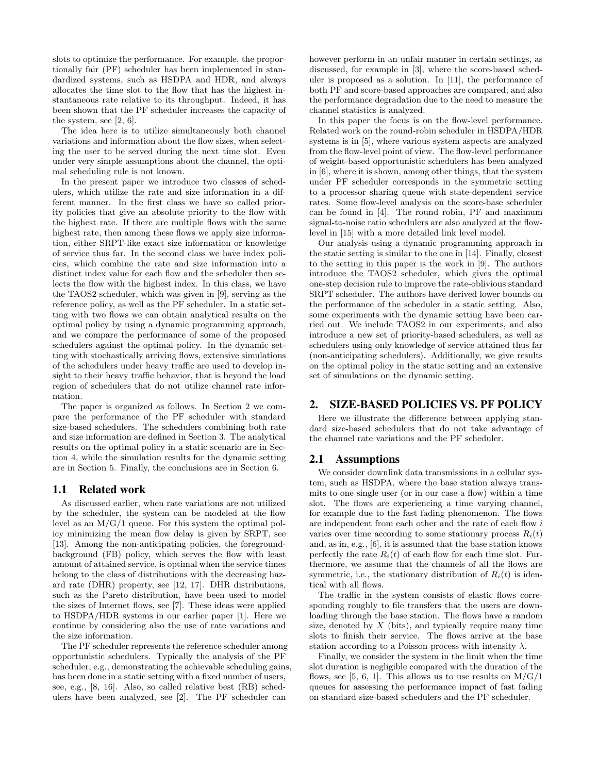slots to optimize the performance. For example, the proportionally fair (PF) scheduler has been implemented in standardized systems, such as HSDPA and HDR, and always allocates the time slot to the flow that has the highest instantaneous rate relative to its throughput. Indeed, it has been shown that the PF scheduler increases the capacity of the system, see [2, 6].

The idea here is to utilize simultaneously both channel variations and information about the flow sizes, when selecting the user to be served during the next time slot. Even under very simple assumptions about the channel, the optimal scheduling rule is not known.

In the present paper we introduce two classes of schedulers, which utilize the rate and size information in a different manner. In the first class we have so called priority policies that give an absolute priority to the flow with the highest rate. If there are multiple flows with the same highest rate, then among these flows we apply size information, either SRPT-like exact size information or knowledge of service thus far. In the second class we have index policies, which combine the rate and size information into a distinct index value for each flow and the scheduler then selects the flow with the highest index. In this class, we have the TAOS2 scheduler, which was given in [9], serving as the reference policy, as well as the PF scheduler. In a static setting with two flows we can obtain analytical results on the optimal policy by using a dynamic programming approach, and we compare the performance of some of the proposed schedulers against the optimal policy. In the dynamic setting with stochastically arriving flows, extensive simulations of the schedulers under heavy traffic are used to develop insight to their heavy traffic behavior, that is beyond the load region of schedulers that do not utilize channel rate information.

The paper is organized as follows. In Section 2 we compare the performance of the PF scheduler with standard size-based schedulers. The schedulers combining both rate and size information are defined in Section 3. The analytical results on the optimal policy in a static scenario are in Section 4, while the simulation results for the dynamic setting are in Section 5. Finally, the conclusions are in Section 6.

## 1.1 Related work

As discussed earlier, when rate variations are not utilized by the scheduler, the system can be modeled at the flow level as an  $M/G/1$  queue. For this system the optimal policy minimizing the mean flow delay is given by SRPT, see [13]. Among the non-anticipating policies, the foregroundbackground (FB) policy, which serves the flow with least amount of attained service, is optimal when the service times belong to the class of distributions with the decreasing hazard rate (DHR) property, see [12, 17]. DHR distributions, such as the Pareto distribution, have been used to model the sizes of Internet flows, see [7]. These ideas were applied to HSDPA/HDR systems in our earlier paper [1]. Here we continue by considering also the use of rate variations and the size information.

The PF scheduler represents the reference scheduler among opportunistic schedulers. Typically the analysis of the PF scheduler, e.g., demonstrating the achievable scheduling gains, has been done in a static setting with a fixed number of users, see, e.g., [8, 16]. Also, so called relative best (RB) schedulers have been analyzed, see [2]. The PF scheduler can

however perform in an unfair manner in certain settings, as discussed, for example in [3], where the score-based scheduler is proposed as a solution. In [11], the performance of both PF and score-based approaches are compared, and also the performance degradation due to the need to measure the channel statistics is analyzed.

In this paper the focus is on the flow-level performance. Related work on the round-robin scheduler in HSDPA/HDR systems is in [5], where various system aspects are analyzed from the flow-level point of view. The flow-level performance of weight-based opportunistic schedulers has been analyzed in [6], where it is shown, among other things, that the system under PF scheduler corresponds in the symmetric setting to a processor sharing queue with state-dependent service rates. Some flow-level analysis on the score-base scheduler can be found in [4]. The round robin, PF and maximum signal-to-noise ratio schedulers are also analyzed at the flowlevel in [15] with a more detailed link level model.

Our analysis using a dynamic programming approach in the static setting is similar to the one in [14]. Finally, closest to the setting in this paper is the work in [9]. The authors introduce the TAOS2 scheduler, which gives the optimal one-step decision rule to improve the rate-oblivious standard SRPT scheduler. The authors have derived lower bounds on the performance of the scheduler in a static setting. Also, some experiments with the dynamic setting have been carried out. We include TAOS2 in our experiments, and also introduce a new set of priority-based schedulers, as well as schedulers using only knowledge of service attained thus far (non-anticipating schedulers). Additionally, we give results on the optimal policy in the static setting and an extensive set of simulations on the dynamic setting.

# 2. SIZE-BASED POLICIES VS. PF POLICY

Here we illustrate the difference between applying standard size-based schedulers that do not take advantage of the channel rate variations and the PF scheduler.

### 2.1 Assumptions

We consider downlink data transmissions in a cellular system, such as HSDPA, where the base station always transmits to one single user (or in our case a flow) within a time slot. The flows are experiencing a time varying channel, for example due to the fast fading phenomenon. The flows are independent from each other and the rate of each flow i varies over time according to some stationary process  $R_i(t)$ and, as in, e.g., [6], it is assumed that the base station knows perfectly the rate  $R_i(t)$  of each flow for each time slot. Furthermore, we assume that the channels of all the flows are symmetric, i.e., the stationary distribution of  $R_i(t)$  is identical with all flows.

The traffic in the system consists of elastic flows corresponding roughly to file transfers that the users are downloading through the base station. The flows have a random size, denoted by  $X$  (bits), and typically require many time slots to finish their service. The flows arrive at the base station according to a Poisson process with intensity  $\lambda$ .

Finally, we consider the system in the limit when the time slot duration is negligible compared with the duration of the flows, see [5, 6, 1]. This allows us to use results on  $M/G/1$ queues for assessing the performance impact of fast fading on standard size-based schedulers and the PF scheduler.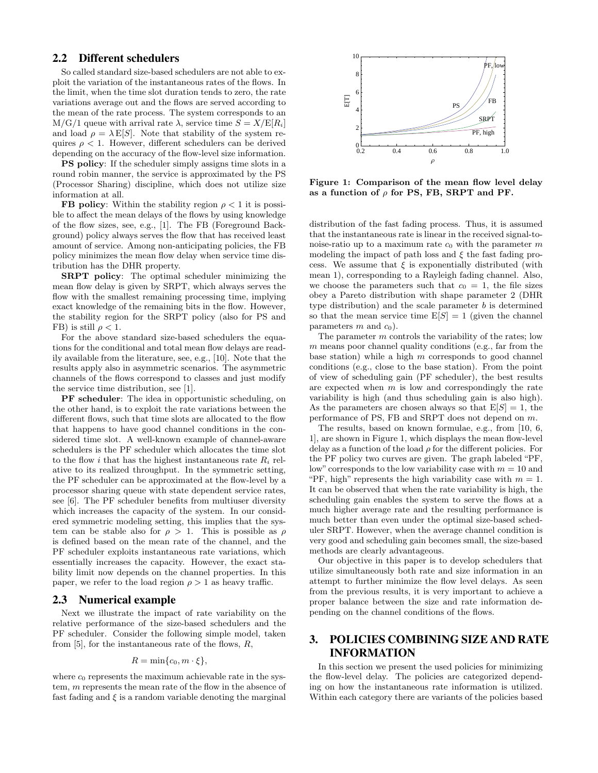# 2.2 Different schedulers

So called standard size-based schedulers are not able to exploit the variation of the instantaneous rates of the flows. In the limit, when the time slot duration tends to zero, the rate variations average out and the flows are served according to the mean of the rate process. The system corresponds to an  $M/G/1$  queue with arrival rate  $\lambda$ , service time  $S = X/E[R_i]$ and load  $\rho = \lambda E[S]$ . Note that stability of the system requires  $\rho < 1$ . However, different schedulers can be derived depending on the accuracy of the flow-level size information.

PS policy: If the scheduler simply assigns time slots in a round robin manner, the service is approximated by the PS (Processor Sharing) discipline, which does not utilize size information at all.

**FB policy:** Within the stability region  $\rho < 1$  it is possible to affect the mean delays of the flows by using knowledge of the flow sizes, see, e.g., [1]. The FB (Foreground Background) policy always serves the flow that has received least amount of service. Among non-anticipating policies, the FB policy minimizes the mean flow delay when service time distribution has the DHR property.

SRPT policy: The optimal scheduler minimizing the mean flow delay is given by SRPT, which always serves the flow with the smallest remaining processing time, implying exact knowledge of the remaining bits in the flow. However, the stability region for the SRPT policy (also for PS and FB) is still  $\rho < 1$ .

For the above standard size-based schedulers the equations for the conditional and total mean flow delays are readily available from the literature, see, e.g., [10]. Note that the results apply also in asymmetric scenarios. The asymmetric channels of the flows correspond to classes and just modify the service time distribution, see [1].

PF scheduler: The idea in opportunistic scheduling, on the other hand, is to exploit the rate variations between the different flows, such that time slots are allocated to the flow that happens to have good channel conditions in the considered time slot. A well-known example of channel-aware schedulers is the PF scheduler which allocates the time slot to the flow i that has the highest instantaneous rate  $R_i$  relative to its realized throughput. In the symmetric setting, the PF scheduler can be approximated at the flow-level by a processor sharing queue with state dependent service rates, see [6]. The PF scheduler benefits from multiuser diversity which increases the capacity of the system. In our considered symmetric modeling setting, this implies that the system can be stable also for  $\rho > 1$ . This is possible as  $\rho$ is defined based on the mean rate of the channel, and the PF scheduler exploits instantaneous rate variations, which essentially increases the capacity. However, the exact stability limit now depends on the channel properties. In this paper, we refer to the load region  $\rho > 1$  as heavy traffic.

# 2.3 Numerical example

Next we illustrate the impact of rate variability on the relative performance of the size-based schedulers and the PF scheduler. Consider the following simple model, taken from  $[5]$ , for the instantaneous rate of the flows,  $R$ ,

$$
R = \min\{c_0, m \cdot \xi\},\
$$

where  $c_0$  represents the maximum achievable rate in the system, m represents the mean rate of the flow in the absence of fast fading and  $\xi$  is a random variable denoting the marginal



Figure 1: Comparison of the mean flow level delay as a function of  $\rho$  for PS, FB, SRPT and PF.

distribution of the fast fading process. Thus, it is assumed that the instantaneous rate is linear in the received signal-tonoise-ratio up to a maximum rate  $c_0$  with the parameter m modeling the impact of path loss and  $\xi$  the fast fading process. We assume that  $\xi$  is exponentially distributed (with mean 1), corresponding to a Rayleigh fading channel. Also, we choose the parameters such that  $c_0 = 1$ , the file sizes obey a Pareto distribution with shape parameter 2 (DHR type distribution) and the scale parameter  $b$  is determined so that the mean service time  $E[S] = 1$  (given the channel parameters  $m$  and  $c_0$ ).

The parameter  $m$  controls the variability of the rates; low m means poor channel quality conditions (e.g., far from the base station) while a high  $m$  corresponds to good channel conditions (e.g., close to the base station). From the point of view of scheduling gain (PF scheduler), the best results are expected when  $m$  is low and correspondingly the rate variability is high (and thus scheduling gain is also high). As the parameters are chosen always so that  $E[S] = 1$ , the performance of PS, FB and SRPT does not depend on m.

The results, based on known formulae, e.g., from [10, 6, 1], are shown in Figure 1, which displays the mean flow-level delay as a function of the load  $\rho$  for the different policies. For the PF policy two curves are given. The graph labeled "PF, low" corresponds to the low variability case with  $m = 10$  and "PF, high" represents the high variability case with  $m = 1$ . It can be observed that when the rate variability is high, the scheduling gain enables the system to serve the flows at a much higher average rate and the resulting performance is much better than even under the optimal size-based scheduler SRPT. However, when the average channel condition is very good and scheduling gain becomes small, the size-based methods are clearly advantageous.

Our objective in this paper is to develop schedulers that utilize simultaneously both rate and size information in an attempt to further minimize the flow level delays. As seen from the previous results, it is very important to achieve a proper balance between the size and rate information depending on the channel conditions of the flows.

# 3. POLICIES COMBINING SIZE AND RATE INFORMATION

In this section we present the used policies for minimizing the flow-level delay. The policies are categorized depending on how the instantaneous rate information is utilized. Within each category there are variants of the policies based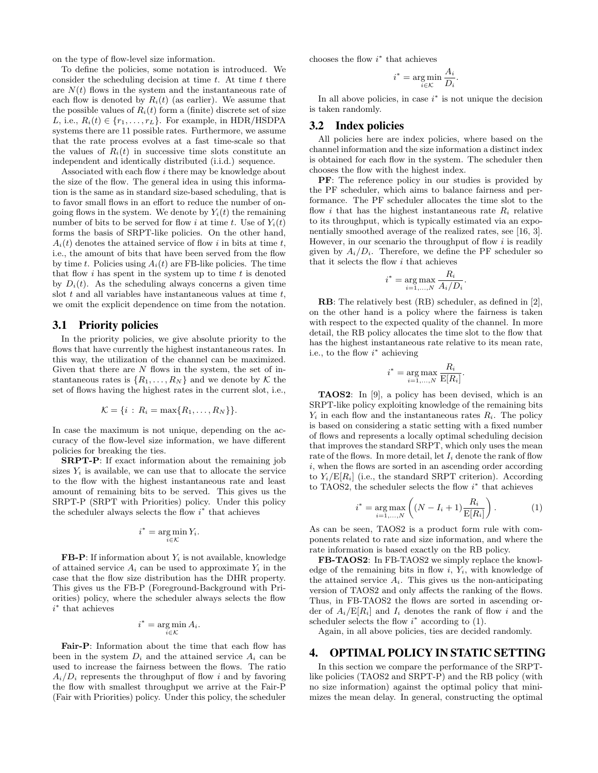on the type of flow-level size information.

To define the policies, some notation is introduced. We consider the scheduling decision at time  $t$ . At time  $t$  there are  $N(t)$  flows in the system and the instantaneous rate of each flow is denoted by  $R_i(t)$  (as earlier). We assume that the possible values of  $R_i(t)$  form a (finite) discrete set of size L, i.e.,  $R_i(t) \in \{r_1, \ldots, r_L\}$ . For example, in HDR/HSDPA systems there are 11 possible rates. Furthermore, we assume that the rate process evolves at a fast time-scale so that the values of  $R_i(t)$  in successive time slots constitute an independent and identically distributed (i.i.d.) sequence.

Associated with each flow i there may be knowledge about the size of the flow. The general idea in using this information is the same as in standard size-based scheduling, that is to favor small flows in an effort to reduce the number of ongoing flows in the system. We denote by  $Y_i(t)$  the remaining number of bits to be served for flow i at time t. Use of  $Y_i(t)$ forms the basis of SRPT-like policies. On the other hand,  $A_i(t)$  denotes the attained service of flow i in bits at time t, i.e., the amount of bits that have been served from the flow by time t. Policies using  $A_i(t)$  are FB-like policies. The time that flow  $i$  has spent in the system up to time  $t$  is denoted by  $D_i(t)$ . As the scheduling always concerns a given time slot  $t$  and all variables have instantaneous values at time  $t$ , we omit the explicit dependence on time from the notation.

#### 3.1 Priority policies

In the priority policies, we give absolute priority to the flows that have currently the highest instantaneous rates. In this way, the utilization of the channel can be maximized. Given that there are  $N$  flows in the system, the set of instantaneous rates is  $\{R_1, \ldots, R_N\}$  and we denote by K the set of flows having the highest rates in the current slot, i.e.,

$$
\mathcal{K} = \{i : R_i = \max\{R_1,\ldots,R_N\}\}.
$$

In case the maximum is not unique, depending on the accuracy of the flow-level size information, we have different policies for breaking the ties.

SRPT-P: If exact information about the remaining job sizes  $Y_i$  is available, we can use that to allocate the service to the flow with the highest instantaneous rate and least amount of remaining bits to be served. This gives us the SRPT-P (SRPT with Priorities) policy. Under this policy the scheduler always selects the flow  $i^*$  that achieves

$$
i^* = \operatorname*{arg\,min}_{i \in \mathcal{K}} Y_i.
$$

**FB-P**: If information about  $Y_i$  is not available, knowledge of attained service  $A_i$  can be used to approximate  $Y_i$  in the case that the flow size distribution has the DHR property. This gives us the FB-P (Foreground-Background with Priorities) policy, where the scheduler always selects the flow i ∗ that achieves

$$
i^* = \operatorname*{arg\,min}_{i \in \mathcal{K}} A_i.
$$

Fair-P: Information about the time that each flow has been in the system  $D_i$  and the attained service  $A_i$  can be used to increase the fairness between the flows. The ratio  $A_i/D_i$  represents the throughput of flow i and by favoring the flow with smallest throughput we arrive at the Fair-P (Fair with Priorities) policy. Under this policy, the scheduler

chooses the flow  $i^*$  that achieves

$$
i^* = \underset{i \in \mathcal{K}}{\text{arg min}} \frac{A_i}{D_i}.
$$

In all above policies, in case  $i^*$  is not unique the decision is taken randomly.

#### 3.2 Index policies

All policies here are index policies, where based on the channel information and the size information a distinct index is obtained for each flow in the system. The scheduler then chooses the flow with the highest index.

PF: The reference policy in our studies is provided by the PF scheduler, which aims to balance fairness and performance. The PF scheduler allocates the time slot to the flow i that has the highest instantaneous rate  $R_i$  relative to its throughput, which is typically estimated via an exponentially smoothed average of the realized rates, see [16, 3]. However, in our scenario the throughput of flow  $i$  is readily given by  $A_i/D_i$ . Therefore, we define the PF scheduler so that it selects the flow i that achieves

$$
i^* = \underset{i=1,\dots,N}{\arg \max} \frac{R_i}{A_i/D_i}.
$$

RB: The relatively best (RB) scheduler, as defined in [2], on the other hand is a policy where the fairness is taken with respect to the expected quality of the channel. In more detail, the RB policy allocates the time slot to the flow that has the highest instantaneous rate relative to its mean rate, i.e., to the flow  $i^*$  achieving

$$
i^* = \underset{i=1,\ldots,N}{\arg \max} \frac{R_i}{\mathrm{E}[R_i]}.
$$

TAOS2: In [9], a policy has been devised, which is an SRPT-like policy exploiting knowledge of the remaining bits  $Y_i$  in each flow and the instantaneous rates  $R_i$ . The policy is based on considering a static setting with a fixed number of flows and represents a locally optimal scheduling decision that improves the standard SRPT, which only uses the mean rate of the flows. In more detail, let  $I_i$  denote the rank of flow i, when the flows are sorted in an ascending order according to  $Y_i/E[R_i]$  (i.e., the standard SRPT criterion). According to TAOS2, the scheduler selects the flow  $i^*$  that achieves

$$
i^* = \underset{i=1,...,N}{\arg \max} \left( (N - I_i + 1) \frac{R_i}{\mathcal{E}[R_i]} \right). \tag{1}
$$

As can be seen, TAOS2 is a product form rule with components related to rate and size information, and where the rate information is based exactly on the RB policy.

FB-TAOS2: In FB-TAOS2 we simply replace the knowledge of the remaining bits in flow  $i, Y_i$ , with knowledge of the attained service  $A_i$ . This gives us the non-anticipating version of TAOS2 and only affects the ranking of the flows. Thus, in FB-TAOS2 the flows are sorted in ascending order of  $A_i / E[R_i]$  and  $I_i$  denotes the rank of flow i and the scheduler selects the flow  $i^*$  according to  $(1)$ .

Again, in all above policies, ties are decided randomly.

# 4. OPTIMAL POLICY IN STATIC SETTING

In this section we compare the performance of the SRPTlike policies (TAOS2 and SRPT-P) and the RB policy (with no size information) against the optimal policy that minimizes the mean delay. In general, constructing the optimal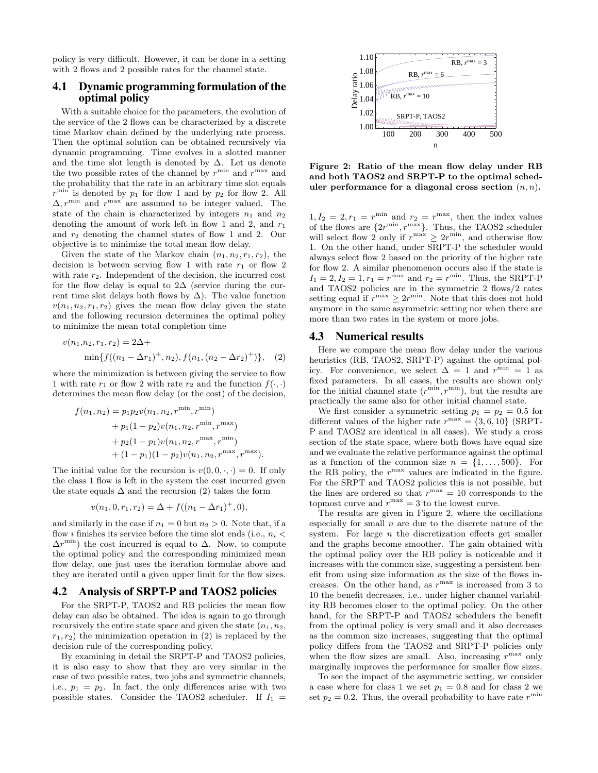policy is very difficult. However, it can be done in a setting with 2 flows and 2 possible rates for the channel state.

# 4.1 Dynamic programming formulation of the optimal policy

With a suitable choice for the parameters, the evolution of the service of the 2 flows can be characterized by a discrete time Markov chain defined by the underlying rate process. Then the optimal solution can be obtained recursively via dynamic programming. Time evolves in a slotted manner and the time slot length is denoted by  $\Delta$ . Let us denote the two possible rates of the channel by  $r^{\min}$  and  $r^{\max}$  and the probability that the rate in an arbitrary time slot equals  $r^{\min}$  is denoted by  $p_1$  for flow 1 and by  $p_2$  for flow 2. All  $\Delta, r^{\min}$  and  $r^{\max}$  are assumed to be integer valued. The state of the chain is characterized by integers  $n_1$  and  $n_2$ denoting the amount of work left in flow 1 and 2, and  $r_1$ and  $r_2$  denoting the channel states of flow 1 and 2. Our objective is to minimize the total mean flow delay.

Given the state of the Markov chain  $(n_1, n_2, r_1, r_2)$ , the decision is between serving flow 1 with rate  $r_1$  or flow 2 with rate  $r_2$ . Independent of the decision, the incurred cost for the flow delay is equal to  $2\Delta$  (service during the current time slot delays both flows by  $\Delta$ ). The value function  $v(n_1, n_2, r_1, r_2)$  gives the mean flow delay given the state and the following recursion determines the optimal policy to minimize the mean total completion time

$$
v(n_1, n_2, r_1, r_2) = 2\Delta + \min\{f((n_1 - \Delta r_1)^+, n_2), f(n_1, (n_2 - \Delta r_2)^+)\},
$$
 (2)

where the minimization is between giving the service to flow 1 with rate  $r_1$  or flow 2 with rate  $r_2$  and the function  $f(\cdot, \cdot)$ determines the mean flow delay (or the cost) of the decision,

$$
f(n_1, n_2) = p_1 p_2 v(n_1, n_2, r^{\min}, r^{\min})
$$
  
+  $p_1 (1 - p_2) v(n_1, n_2, r^{\min}, r^{\max})$   
+  $p_2 (1 - p_1) v(n_1, n_2, r^{\max}, r^{\min})$   
+  $(1 - p_1) (1 - p_2) v(n_1, n_2, r^{\max}, r^{\max}).$ 

The initial value for the recursion is  $v(0, 0, \cdot, \cdot) = 0$ . If only the class 1 flow is left in the system the cost incurred given the state equals  $\Delta$  and the recursion (2) takes the form

$$
v(n_1, 0, r_1, r_2) = \Delta + f((n_1 - \Delta r_1)^+, 0),
$$

and similarly in the case if  $n_1 = 0$  but  $n_2 > 0$ . Note that, if a flow *i* finishes its service before the time slot ends (i.e.,  $n_i$  <  $\Delta r^{\min}$ ) the cost incurred is equal to  $\Delta$ . Now, to compute the optimal policy and the corresponding minimized mean flow delay, one just uses the iteration formulae above and they are iterated until a given upper limit for the flow sizes.

#### 4.2 Analysis of SRPT-P and TAOS2 policies

For the SRPT-P, TAOS2 and RB policies the mean flow delay can also be obtained. The idea is again to go through recursively the entire state space and given the state  $(n_1, n_2, ...)$  $r_1, r_2$ ) the minimization operation in (2) is replaced by the decision rule of the corresponding policy.

By examining in detail the SRPT-P and TAOS2 policies, it is also easy to show that they are very similar in the case of two possible rates, two jobs and symmetric channels, i.e.,  $p_1 = p_2$ . In fact, the only differences arise with two possible states. Consider the TAOS2 scheduler. If  $I_1$  =



Figure 2: Ratio of the mean flow delay under RB and both TAOS2 and SRPT-P to the optimal scheduler performance for a diagonal cross section  $(n, n)$ .

 $1, I_2 = 2, r_1 = r^{\min}$  and  $r_2 = r^{\max}$ , then the index values of the flows are  $\{2r^{\min}, r^{\max}\}\$ . Thus, the TAOS2 scheduler will select flow 2 only if  $r^{\max} \geq 2r^{\min}$ , and otherwise flow 1. On the other hand, under SRPT-P the scheduler would always select flow 2 based on the priority of the higher rate for flow 2. A similar phenomenon occurs also if the state is  $I_1 = 2, I_2 = 1, r_1 = r^{\text{max}}$  and  $r_2 = r^{\text{min}}$ . Thus, the SRPT-P and TAOS2 policies are in the symmetric 2 flows/2 rates setting equal if  $r^{\max} \geq 2r^{\min}$ . Note that this does not hold anymore in the same asymmetric setting nor when there are more than two rates in the system or more jobs.

#### 4.3 Numerical results

Here we compare the mean flow delay under the various heuristics (RB, TAOS2, SRPT-P) against the optimal policy. For convenience, we select  $\Delta = 1$  and  $r^{\min} = 1$  as fixed parameters. In all cases, the results are shown only for the initial channel state  $(r^{\min}, r^{\min})$ , but the results are practically the same also for other initial channel state.

We first consider a symmetric setting  $p_1 = p_2 = 0.5$  for different values of the higher rate  $r^{\text{max}} = \{3, 6, 10\}$  (SRPT-P and TAOS2 are identical in all cases). We study a cross section of the state space, where both flows have equal size and we evaluate the relative performance against the optimal as a function of the common size  $n = \{1, \ldots, 500\}$ . For the RB policy, the  $r^{\text{max}}$  values are indicated in the figure. For the SRPT and TAOS2 policies this is not possible, but the lines are ordered so that  $r^{\max} = 10$  corresponds to the topmost curve and  $r^{\max} = 3$  to the lowest curve.

The results are given in Figure 2, where the oscillations especially for small  $n$  are due to the discrete nature of the system. For large  $n$  the discretization effects get smaller and the graphs become smoother. The gain obtained with the optimal policy over the RB policy is noticeable and it increases with the common size, suggesting a persistent benefit from using size information as the size of the flows increases. On the other hand, as  $r^{\text{max}}$  is increased from 3 to 10 the benefit decreases, i.e., under higher channel variability RB becomes closer to the optimal policy. On the other hand, for the SRPT-P and TAOS2 schedulers the benefit from the optimal policy is very small and it also decreases as the common size increases, suggesting that the optimal policy differs from the TAOS2 and SRPT-P policies only when the flow sizes are small. Also, increasing  $r^{\max}$  only marginally improves the performance for smaller flow sizes.

To see the impact of the asymmetric setting, we consider a case where for class 1 we set  $p_1 = 0.8$  and for class 2 we set  $p_2 = 0.2$ . Thus, the overall probability to have rate  $r^{\min}$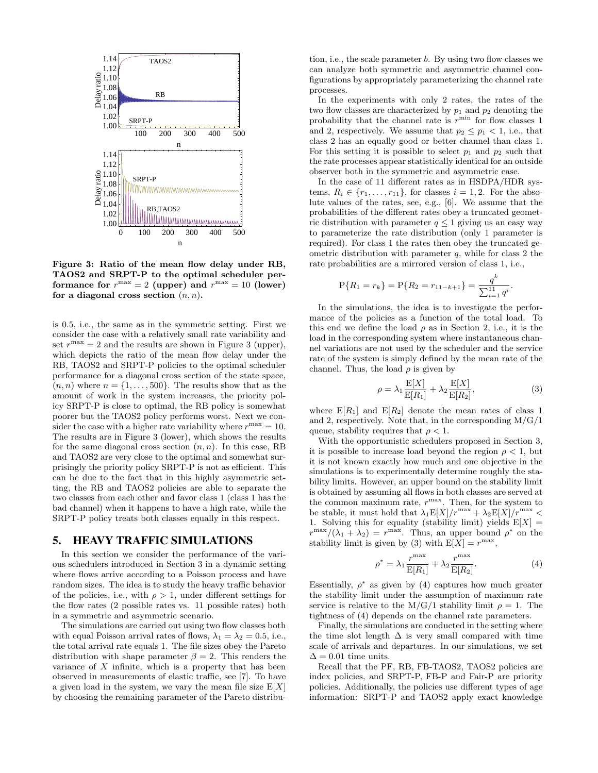

Figure 3: Ratio of the mean flow delay under RB, TAOS2 and SRPT-P to the optimal scheduler performance for  $r^{\max} = 2$  (upper) and  $r^{\max} = 10$  (lower) for a diagonal cross section  $(n, n)$ .

is 0.5, i.e., the same as in the symmetric setting. First we consider the case with a relatively small rate variability and set  $r^{\text{max}} = 2$  and the results are shown in Figure 3 (upper), which depicts the ratio of the mean flow delay under the RB, TAOS2 and SRPT-P policies to the optimal scheduler performance for a diagonal cross section of the state space,  $(n, n)$  where  $n = \{1, \ldots, 500\}$ . The results show that as the amount of work in the system increases, the priority policy SRPT-P is close to optimal, the RB policy is somewhat poorer but the TAOS2 policy performs worst. Next we consider the case with a higher rate variability where  $r^{\text{max}} = 10$ . The results are in Figure 3 (lower), which shows the results for the same diagonal cross section  $(n, n)$ . In this case, RB and TAOS2 are very close to the optimal and somewhat surprisingly the priority policy SRPT-P is not as efficient. This can be due to the fact that in this highly asymmetric setting, the RB and TAOS2 policies are able to separate the two classes from each other and favor class 1 (class 1 has the bad channel) when it happens to have a high rate, while the SRPT-P policy treats both classes equally in this respect.

# 5. HEAVY TRAFFIC SIMULATIONS

In this section we consider the performance of the various schedulers introduced in Section 3 in a dynamic setting where flows arrive according to a Poisson process and have random sizes. The idea is to study the heavy traffic behavior of the policies, i.e., with  $\rho > 1$ , under different settings for the flow rates (2 possible rates vs. 11 possible rates) both in a symmetric and asymmetric scenario.

The simulations are carried out using two flow classes both with equal Poisson arrival rates of flows,  $\lambda_1 = \lambda_2 = 0.5$ , i.e., the total arrival rate equals 1. The file sizes obey the Pareto distribution with shape parameter  $\beta = 2$ . This renders the variance of  $X$  infinite, which is a property that has been observed in measurements of elastic traffic, see [7]. To have a given load in the system, we vary the mean file size  $E[X]$ by choosing the remaining parameter of the Pareto distribution, i.e., the scale parameter b. By using two flow classes we can analyze both symmetric and asymmetric channel configurations by appropriately parameterizing the channel rate processes.

In the experiments with only 2 rates, the rates of the two flow classes are characterized by  $p_1$  and  $p_2$  denoting the probability that the channel rate is  $r^{\min}$  for flow classes 1 and 2, respectively. We assume that  $p_2 \leq p_1 < 1$ , i.e., that class 2 has an equally good or better channel than class 1. For this setting it is possible to select  $p_1$  and  $p_2$  such that the rate processes appear statistically identical for an outside observer both in the symmetric and asymmetric case.

In the case of 11 different rates as in HSDPA/HDR systems,  $R_i \in \{r_1, \ldots, r_{11}\}$ , for classes  $i = 1, 2$ . For the absolute values of the rates, see, e.g., [6]. We assume that the probabilities of the different rates obey a truncated geometric distribution with parameter  $q \leq 1$  giving us an easy way to parameterize the rate distribution (only 1 parameter is required). For class 1 the rates then obey the truncated geometric distribution with parameter  $q$ , while for class 2 the rate probabilities are a mirrored version of class 1, i.e.,

$$
P\{R_1 = r_k\} = P\{R_2 = r_{11-k+1}\} = \frac{q^k}{\sum_{i=1}^{11} q^i}.
$$

In the simulations, the idea is to investigate the performance of the policies as a function of the total load. To this end we define the load  $\rho$  as in Section 2, i.e., it is the load in the corresponding system where instantaneous channel variations are not used by the scheduler and the service rate of the system is simply defined by the mean rate of the channel. Thus, the load  $\rho$  is given by

$$
\rho = \lambda_1 \frac{\mathcal{E}[X]}{\mathcal{E}[R_1]} + \lambda_2 \frac{\mathcal{E}[X]}{\mathcal{E}[R_2]},\tag{3}
$$

where  $E[R_1]$  and  $E[R_2]$  denote the mean rates of class 1 and 2, respectively. Note that, in the corresponding  $M/G/1$ queue, stability requires that  $\rho < 1$ .

With the opportunistic schedulers proposed in Section 3, it is possible to increase load beyond the region  $\rho < 1$ , but it is not known exactly how much and one objective in the simulations is to experimentally determine roughly the stability limits. However, an upper bound on the stability limit is obtained by assuming all flows in both classes are served at the common maximum rate,  $r^{\text{max}}$ . Then, for the system to be stable, it must hold that  $\lambda_1 E[X]/r^{\max} + \lambda_2 E[X]/r^{\max}$ 1. Solving this for equality (stability limit) yields  $E[X] =$  $r^{\max}/(\lambda_1 + \lambda_2) = r^{\max}$ . Thus, an upper bound  $\rho^*$  on the stability limit is given by (3) with  $E[X] = r^{\max}$ ,

$$
\rho^* = \lambda_1 \frac{r^{\max}}{\mathcal{E}[R_1]} + \lambda_2 \frac{r^{\max}}{\mathcal{E}[R_2]}.
$$
 (4)

Essentially,  $\rho^*$  as given by (4) captures how much greater the stability limit under the assumption of maximum rate service is relative to the M/G/1 stability limit  $\rho = 1$ . The tightness of (4) depends on the channel rate parameters.

Finally, the simulations are conducted in the setting where the time slot length  $\Delta$  is very small compared with time scale of arrivals and departures. In our simulations, we set  $\Delta = 0.01$  time units.

Recall that the PF, RB, FB-TAOS2, TAOS2 policies are index policies, and SRPT-P, FB-P and Fair-P are priority policies. Additionally, the policies use different types of age information: SRPT-P and TAOS2 apply exact knowledge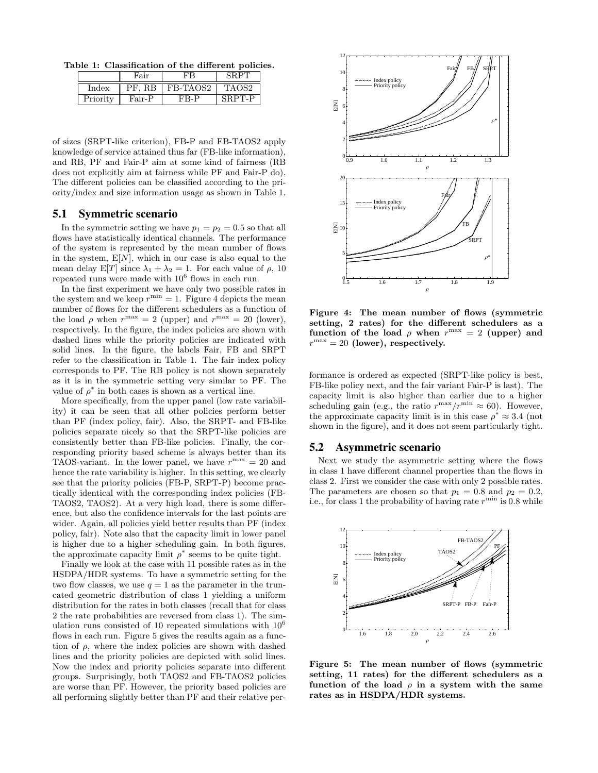Table 1: Classification of the different policies.

|                | Fair        |          |                    |
|----------------|-------------|----------|--------------------|
| $_{\rm Index}$ | R.B<br>D L' | FB-TAOS2 | ாA( ) <sub>்</sub> |
| Priority       | Fair-P      | FR_P     | T-P                |

of sizes (SRPT-like criterion), FB-P and FB-TAOS2 apply knowledge of service attained thus far (FB-like information), and RB, PF and Fair-P aim at some kind of fairness (RB does not explicitly aim at fairness while PF and Fair-P do). The different policies can be classified according to the priority/index and size information usage as shown in Table 1.

# 5.1 Symmetric scenario

In the symmetric setting we have  $p_1 = p_2 = 0.5$  so that all flows have statistically identical channels. The performance of the system is represented by the mean number of flows in the system,  $E[N]$ , which in our case is also equal to the mean delay E[T] since  $\lambda_1 + \lambda_2 = 1$ . For each value of  $\rho$ , 10 repeated runs were made with  $10^6$  flows in each run.

In the first experiment we have only two possible rates in the system and we keep  $r^{\min} = 1$ . Figure 4 depicts the mean number of flows for the different schedulers as a function of the load  $\rho$  when  $r^{\max} = 2$  (upper) and  $r^{\max} = 20$  (lower), respectively. In the figure, the index policies are shown with dashed lines while the priority policies are indicated with solid lines. In the figure, the labels Fair, FB and SRPT refer to the classification in Table 1. The fair index policy corresponds to PF. The RB policy is not shown separately as it is in the symmetric setting very similar to PF. The value of  $\rho^*$  in both cases is shown as a vertical line.

More specifically, from the upper panel (low rate variability) it can be seen that all other policies perform better than PF (index policy, fair). Also, the SRPT- and FB-like policies separate nicely so that the SRPT-like policies are consistently better than FB-like policies. Finally, the corresponding priority based scheme is always better than its TAOS-variant. In the lower panel, we have  $r^{\text{max}} = 20$  and hence the rate variability is higher. In this setting, we clearly see that the priority policies (FB-P, SRPT-P) become practically identical with the corresponding index policies (FB-TAOS2, TAOS2). At a very high load, there is some difference, but also the confidence intervals for the last points are wider. Again, all policies yield better results than PF (index policy, fair). Note also that the capacity limit in lower panel is higher due to a higher scheduling gain. In both figures, the approximate capacity limit  $\rho^*$  seems to be quite tight.

Finally we look at the case with 11 possible rates as in the HSDPA/HDR systems. To have a symmetric setting for the two flow classes, we use  $q = 1$  as the parameter in the truncated geometric distribution of class 1 yielding a uniform distribution for the rates in both classes (recall that for class 2 the rate probabilities are reversed from class 1). The simulation runs consisted of 10 repeated simulations with  $10^6$ flows in each run. Figure 5 gives the results again as a function of  $\rho$ , where the index policies are shown with dashed lines and the priority policies are depicted with solid lines. Now the index and priority policies separate into different groups. Surprisingly, both TAOS2 and FB-TAOS2 policies are worse than PF. However, the priority based policies are all performing slightly better than PF and their relative per-



Figure 4: The mean number of flows (symmetric setting, 2 rates) for the different schedulers as a function of the load  $\rho$  when  $r^{\max} = 2$  (upper) and  $r^{\text{max}} = 20$  (lower), respectively.

formance is ordered as expected (SRPT-like policy is best, FB-like policy next, and the fair variant Fair-P is last). The capacity limit is also higher than earlier due to a higher scheduling gain (e.g., the ratio  $r^{\max}/r^{\min} \approx 60$ ). However, the approximate capacity limit is in this case  $\rho^* \approx 3.4$  (not shown in the figure), and it does not seem particularly tight.

#### 5.2 Asymmetric scenario

Next we study the asymmetric setting where the flows in class 1 have different channel properties than the flows in class 2. First we consider the case with only 2 possible rates. The parameters are chosen so that  $p_1 = 0.8$  and  $p_2 = 0.2$ , i.e., for class 1 the probability of having rate  $r^{\min}$  is 0.8 while



Figure 5: The mean number of flows (symmetric setting, 11 rates) for the different schedulers as a function of the load  $\rho$  in a system with the same rates as in HSDPA/HDR systems.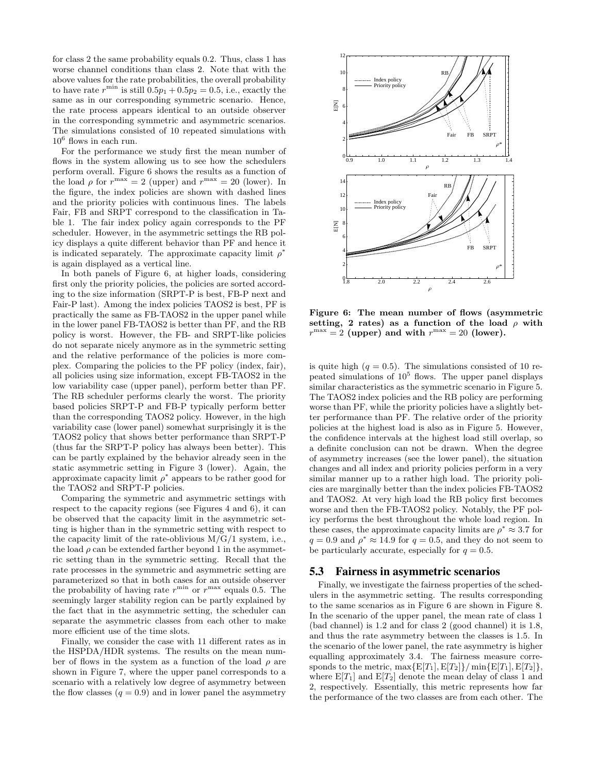for class 2 the same probability equals 0.2. Thus, class 1 has worse channel conditions than class 2. Note that with the above values for the rate probabilities, the overall probability to have rate  $r^{\min}$  is still  $0.5p_1 + 0.5p_2 = 0.5$ , i.e., exactly the same as in our corresponding symmetric scenario. Hence, the rate process appears identical to an outside observer in the corresponding symmetric and asymmetric scenarios. The simulations consisted of 10 repeated simulations with  $10^6$  flows in each run.

For the performance we study first the mean number of flows in the system allowing us to see how the schedulers perform overall. Figure 6 shows the results as a function of the load  $\rho$  for  $r^{\max} = 2$  (upper) and  $r^{\max} = 20$  (lower). In the figure, the index policies are shown with dashed lines and the priority policies with continuous lines. The labels Fair, FB and SRPT correspond to the classification in Table 1. The fair index policy again corresponds to the PF scheduler. However, in the asymmetric settings the RB policy displays a quite different behavior than PF and hence it is indicated separately. The approximate capacity limit  $\rho^*$ is again displayed as a vertical line.

In both panels of Figure 6, at higher loads, considering first only the priority policies, the policies are sorted according to the size information (SRPT-P is best, FB-P next and Fair-P last). Among the index policies TAOS2 is best, PF is practically the same as FB-TAOS2 in the upper panel while in the lower panel FB-TAOS2 is better than PF, and the RB policy is worst. However, the FB- and SRPT-like policies do not separate nicely anymore as in the symmetric setting and the relative performance of the policies is more complex. Comparing the policies to the PF policy (index, fair), all policies using size information, except FB-TAOS2 in the low variability case (upper panel), perform better than PF. The RB scheduler performs clearly the worst. The priority based policies SRPT-P and FB-P typically perform better than the corresponding TAOS2 policy. However, in the high variability case (lower panel) somewhat surprisingly it is the TAOS2 policy that shows better performance than SRPT-P (thus far the SRPT-P policy has always been better). This can be partly explained by the behavior already seen in the static asymmetric setting in Figure 3 (lower). Again, the approximate capacity limit  $\rho^*$  appears to be rather good for the TAOS2 and SRPT-P policies.

Comparing the symmetric and asymmetric settings with respect to the capacity regions (see Figures 4 and 6), it can be observed that the capacity limit in the asymmetric setting is higher than in the symmetric setting with respect to the capacity limit of the rate-oblivious  $M/G/1$  system, i.e., the load  $\rho$  can be extended farther beyond 1 in the asymmetric setting than in the symmetric setting. Recall that the rate processes in the symmetric and asymmetric setting are parameterized so that in both cases for an outside observer the probability of having rate  $r^{\min}$  or  $r^{\max}$  equals 0.5. The seemingly larger stability region can be partly explained by the fact that in the asymmetric setting, the scheduler can separate the asymmetric classes from each other to make more efficient use of the time slots.

Finally, we consider the case with 11 different rates as in the HSPDA/HDR systems. The results on the mean number of flows in the system as a function of the load  $\rho$  are shown in Figure 7, where the upper panel corresponds to a scenario with a relatively low degree of asymmetry between the flow classes  $(q = 0.9)$  and in lower panel the asymmetry



Figure 6: The mean number of flows (asymmetric setting, 2 rates) as a function of the load  $\rho$  with  $r^{\max} = 2$  (upper) and with  $r^{\max} = 20$  (lower).

is quite high  $(q = 0.5)$ . The simulations consisted of 10 repeated simulations of  $10^5$  flows. The upper panel displays similar characteristics as the symmetric scenario in Figure 5. The TAOS2 index policies and the RB policy are performing worse than PF, while the priority policies have a slightly better performance than PF. The relative order of the priority policies at the highest load is also as in Figure 5. However, the confidence intervals at the highest load still overlap, so a definite conclusion can not be drawn. When the degree of asymmetry increases (see the lower panel), the situation changes and all index and priority policies perform in a very similar manner up to a rather high load. The priority policies are marginally better than the index policies FB-TAOS2 and TAOS2. At very high load the RB policy first becomes worse and then the FB-TAOS2 policy. Notably, the PF policy performs the best throughout the whole load region. In these cases, the approximate capacity limits are  $\rho^* \approx 3.7$  for  $q = 0.9$  and  $\rho^* \approx 14.9$  for  $q = 0.5$ , and they do not seem to be particularly accurate, especially for  $q = 0.5$ .

#### 5.3 Fairness in asymmetric scenarios

Finally, we investigate the fairness properties of the schedulers in the asymmetric setting. The results corresponding to the same scenarios as in Figure 6 are shown in Figure 8. In the scenario of the upper panel, the mean rate of class 1 (bad channel) is 1.2 and for class 2 (good channel) it is 1.8, and thus the rate asymmetry between the classes is 1.5. In the scenario of the lower panel, the rate asymmetry is higher equalling approximately 3.4. The fairness measure corresponds to the metric,  $\max\{E[T_1], E[T_2]\} / \min\{E[T_1], E[T_2]\},\$ where  $E[T_1]$  and  $E[T_2]$  denote the mean delay of class 1 and 2, respectively. Essentially, this metric represents how far the performance of the two classes are from each other. The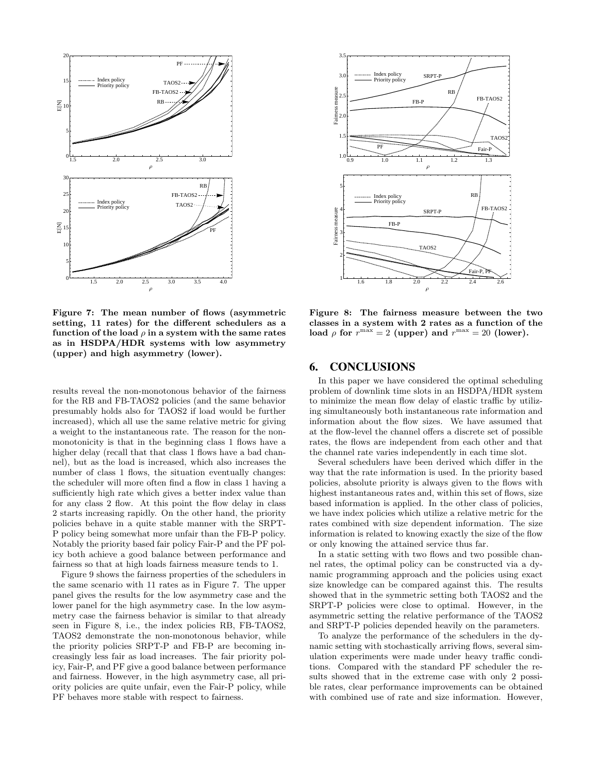

Figure 7: The mean number of flows (asymmetric setting, 11 rates) for the different schedulers as a function of the load  $\rho$  in a system with the same rates as in HSDPA/HDR systems with low asymmetry (upper) and high asymmetry (lower).

results reveal the non-monotonous behavior of the fairness for the RB and FB-TAOS2 policies (and the same behavior presumably holds also for TAOS2 if load would be further increased), which all use the same relative metric for giving a weight to the instantaneous rate. The reason for the nonmonotonicity is that in the beginning class 1 flows have a higher delay (recall that that class 1 flows have a bad channel), but as the load is increased, which also increases the number of class 1 flows, the situation eventually changes: the scheduler will more often find a flow in class 1 having a sufficiently high rate which gives a better index value than for any class 2 flow. At this point the flow delay in class 2 starts increasing rapidly. On the other hand, the priority policies behave in a quite stable manner with the SRPT-P policy being somewhat more unfair than the FB-P policy. Notably the priority based fair policy Fair-P and the PF policy both achieve a good balance between performance and fairness so that at high loads fairness measure tends to 1.

Figure 9 shows the fairness properties of the schedulers in the same scenario with 11 rates as in Figure 7. The upper panel gives the results for the low asymmetry case and the lower panel for the high asymmetry case. In the low asymmetry case the fairness behavior is similar to that already seen in Figure 8, i.e., the index policies RB, FB-TAOS2, TAOS2 demonstrate the non-monotonous behavior, while the priority policies SRPT-P and FB-P are becoming increasingly less fair as load increases. The fair priority policy, Fair-P, and PF give a good balance between performance and fairness. However, in the high asymmetry case, all priority policies are quite unfair, even the Fair-P policy, while PF behaves more stable with respect to fairness.



Figure 8: The fairness measure between the two classes in a system with 2 rates as a function of the load  $\rho$  for  $r^{\max} = 2$  (upper) and  $r^{\max} = 20$  (lower).

## 6. CONCLUSIONS

In this paper we have considered the optimal scheduling problem of downlink time slots in an HSDPA/HDR system to minimize the mean flow delay of elastic traffic by utilizing simultaneously both instantaneous rate information and information about the flow sizes. We have assumed that at the flow-level the channel offers a discrete set of possible rates, the flows are independent from each other and that the channel rate varies independently in each time slot.

Several schedulers have been derived which differ in the way that the rate information is used. In the priority based policies, absolute priority is always given to the flows with highest instantaneous rates and, within this set of flows, size based information is applied. In the other class of policies, we have index policies which utilize a relative metric for the rates combined with size dependent information. The size information is related to knowing exactly the size of the flow or only knowing the attained service thus far.

In a static setting with two flows and two possible channel rates, the optimal policy can be constructed via a dynamic programming approach and the policies using exact size knowledge can be compared against this. The results showed that in the symmetric setting both TAOS2 and the SRPT-P policies were close to optimal. However, in the asymmetric setting the relative performance of the TAOS2 and SRPT-P policies depended heavily on the parameters.

To analyze the performance of the schedulers in the dynamic setting with stochastically arriving flows, several simulation experiments were made under heavy traffic conditions. Compared with the standard PF scheduler the results showed that in the extreme case with only 2 possible rates, clear performance improvements can be obtained with combined use of rate and size information. However,